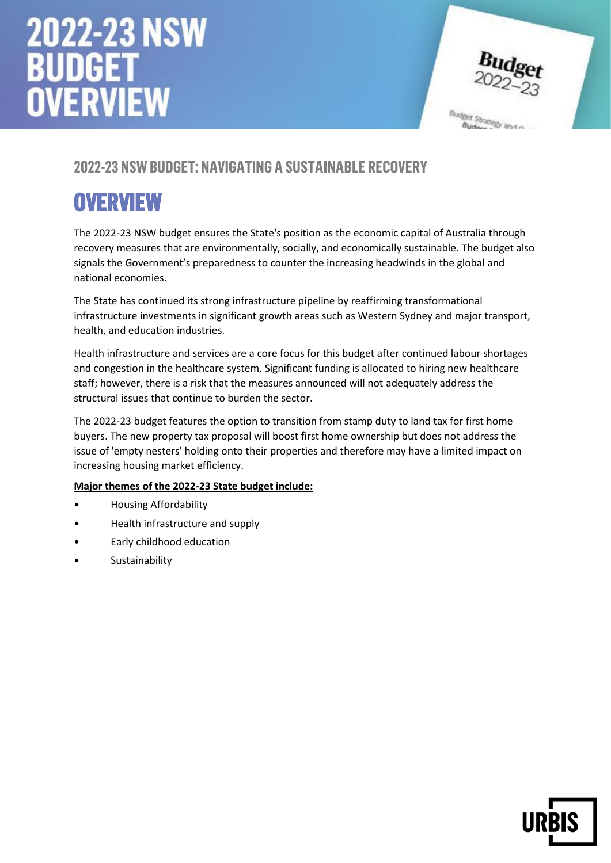

### **2022-23 NSW Budget: Navigating a Sustainable Recovery**

## **Overview**

The 2022-23 NSW budget ensures the State's position as the economic capital of Australia through recovery measures that are environmentally, socially, and economically sustainable. The budget also signals the Government's preparedness to counter the increasing headwinds in the global and national economies.

The State has continued its strong infrastructure pipeline by reaffirming transformational infrastructure investments in significant growth areas such as Western Sydney and major transport, health, and education industries.

Health infrastructure and services are a core focus for this budget after continued labour shortages and congestion in the healthcare system. Significant funding is allocated to hiring new healthcare staff; however, there is a risk that the measures announced will not adequately address the structural issues that continue to burden the sector.

The 2022-23 budget features the option to transition from stamp duty to land tax for first home buyers. The new property tax proposal will boost first home ownership but does not address the issue of 'empty nesters' holding onto their properties and therefore may have a limited impact on increasing housing market efficiency.

**Major themes of the 2022-23 State budget include:**

- Housing Affordability
- Health infrastructure and supply
- Early childhood education
- **Sustainability**

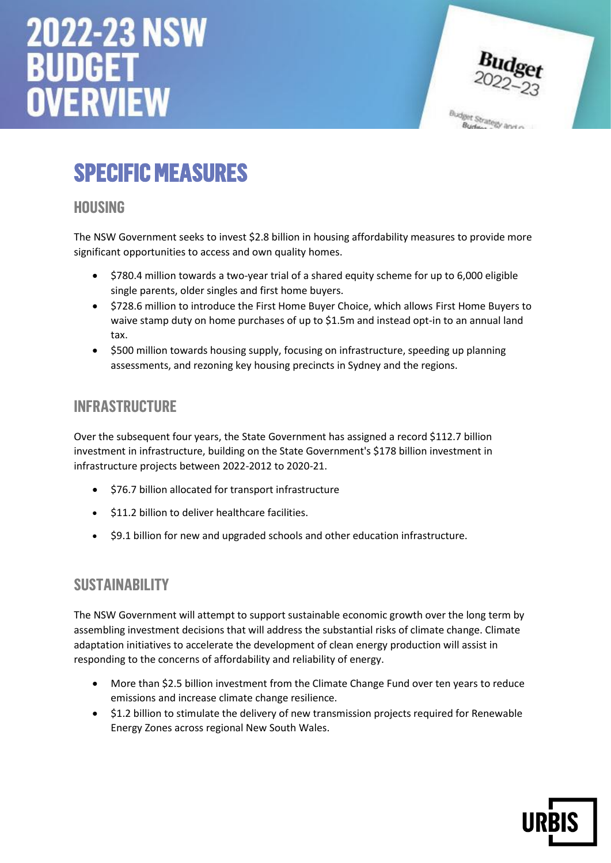

Budget Strategy and

# **Specific measures**

#### **Housing**

The NSW Government seeks to invest \$2.8 billion in housing affordability measures to provide more significant opportunities to access and own quality homes.

- \$780.4 million towards a two-year trial of a shared equity scheme for up to 6,000 eligible single parents, older singles and first home buyers.
- \$728.6 million to introduce the First Home Buyer Choice, which allows First Home Buyers to waive stamp duty on home purchases of up to \$1.5m and instead opt-in to an annual land tax.
- \$500 million towards housing supply, focusing on infrastructure, speeding up planning assessments, and rezoning key housing precincts in Sydney and the regions.

#### **Infrastructure**

Over the subsequent four years, the State Government has assigned a record \$112.7 billion investment in infrastructure, building on the State Government's \$178 billion investment in infrastructure projects between 2022-2012 to 2020-21.

- \$76.7 billion allocated for transport infrastructure
- \$11.2 billion to deliver healthcare facilities.
- \$9.1 billion for new and upgraded schools and other education infrastructure.

#### **Sustainability**

The NSW Government will attempt to support sustainable economic growth over the long term by assembling investment decisions that will address the substantial risks of climate change. Climate adaptation initiatives to accelerate the development of clean energy production will assist in responding to the concerns of affordability and reliability of energy.

- More than \$2.5 billion investment from the Climate Change Fund over ten years to reduce emissions and increase climate change resilience.
- \$1.2 billion to stimulate the delivery of new transmission projects required for Renewable Energy Zones across regional New South Wales.

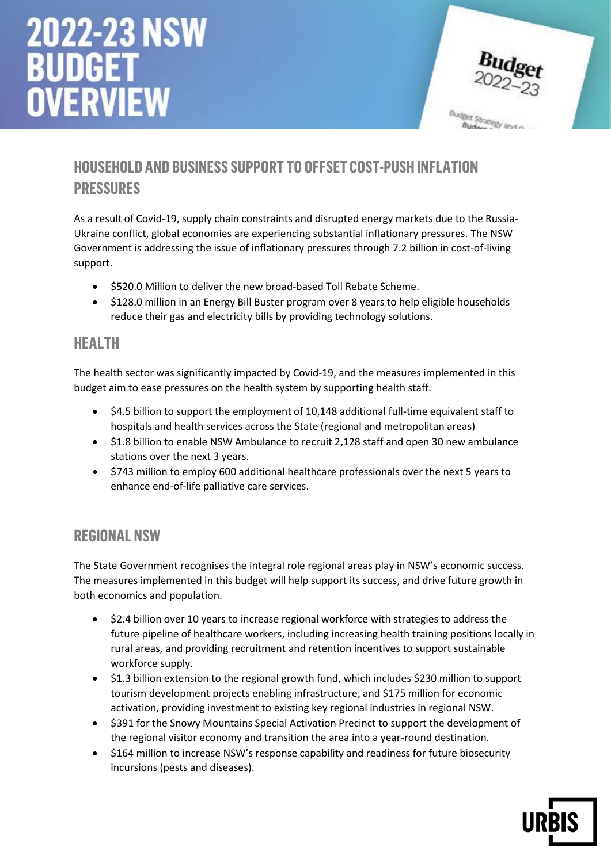

## **Household and business support to offset cost-push inflation pressures**

As a result of Covid-19, supply chain constraints and disrupted energy markets due to the Russia-Ukraine conflict, global economies are experiencing substantial inflationary pressures. The NSW Government is addressing the issue of inflationary pressures through 7.2 billion in cost-of-living support.

- \$520.0 Million to deliver the new broad-based Toll Rebate Scheme.
- \$128.0 million in an Energy Bill Buster program over 8 years to help eligible households reduce their gas and electricity bills by providing technology solutions.

#### **Health**

The health sector was significantly impacted by Covid-19, and the measures implemented in this budget aim to ease pressures on the health system by supporting health staff.

- \$4.5 billion to support the employment of 10,148 additional full-time equivalent staff to hospitals and health services across the State (regional and metropolitan areas)
- \$1.8 billion to enable NSW Ambulance to recruit 2,128 staff and open 30 new ambulance stations over the next 3 years.
- \$743 million to employ 600 additional healthcare professionals over the next 5 years to enhance end-of-life palliative care services.

#### **Regional NSW**

The State Government recognises the integral role regional areas play in NSW's economic success. The measures implemented in this budget will help support its success, and drive future growth in both economics and population.

- \$2.4 billion over 10 years to increase regional workforce with strategies to address the future pipeline of healthcare workers, including increasing health training positions locally in rural areas, and providing recruitment and retention incentives to support sustainable workforce supply.
- \$1.3 billion extension to the regional growth fund, which includes \$230 million to support tourism development projects enabling infrastructure, and \$175 million for economic activation, providing investment to existing key regional industries in regional NSW.
- \$391 for the Snowy Mountains Special Activation Precinct to support the development of the regional visitor economy and transition the area into a year-round destination.
- \$164 million to increase NSW's response capability and readiness for future biosecurity incursions (pests and diseases).

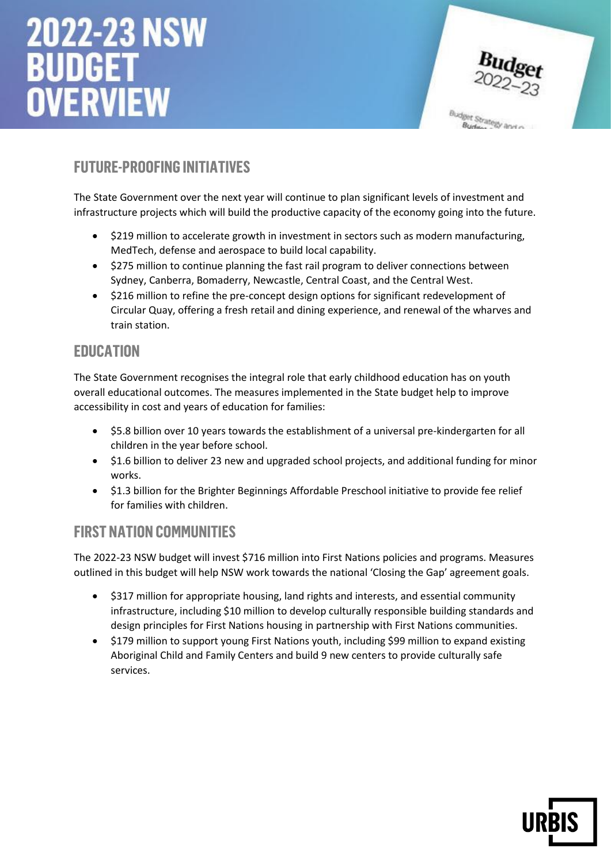

### **Future-Proofing Initiatives**

The State Government over the next year will continue to plan significant levels of investment and infrastructure projects which will build the productive capacity of the economy going into the future.

- \$219 million to accelerate growth in investment in sectors such as modern manufacturing, MedTech, defense and aerospace to build local capability.
- \$275 million to continue planning the fast rail program to deliver connections between Sydney, Canberra, Bomaderry, Newcastle, Central Coast, and the Central West.
- \$216 million to refine the pre-concept design options for significant redevelopment of Circular Quay, offering a fresh retail and dining experience, and renewal of the wharves and train station.

#### **Education**

The State Government recognises the integral role that early childhood education has on youth overall educational outcomes. The measures implemented in the State budget help to improve accessibility in cost and years of education for families:

- \$5.8 billion over 10 years towards the establishment of a universal pre-kindergarten for all children in the year before school.
- \$1.6 billion to deliver 23 new and upgraded school projects, and additional funding for minor works.
- \$1.3 billion for the Brighter Beginnings Affordable Preschool initiative to provide fee relief for families with children.

#### **First Nation Communities**

The 2022-23 NSW budget will invest \$716 million into First Nations policies and programs. Measures outlined in this budget will help NSW work towards the national 'Closing the Gap' agreement goals.

- \$317 million for appropriate housing, land rights and interests, and essential community infrastructure, including \$10 million to develop culturally responsible building standards and design principles for First Nations housing in partnership with First Nations communities.
- \$179 million to support young First Nations youth, including \$99 million to expand existing Aboriginal Child and Family Centers and build 9 new centers to provide culturally safe services.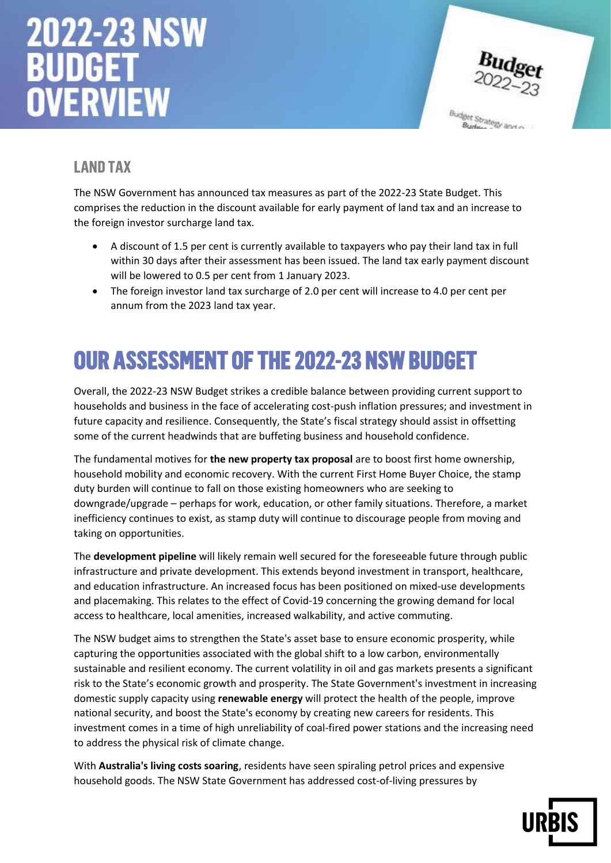

## **Land tax**

The NSW Government has announced tax measures as part of the 2022-23 State Budget. This comprises the reduction in the discount available for early payment of land tax and an increase to the foreign investor surcharge land tax.

- A discount of 1.5 per cent is currently available to taxpayers who pay their land tax in full within 30 days after their assessment has been issued. The land tax early payment discount will be lowered to 0.5 per cent from 1 January 2023.
- The foreign investor land tax surcharge of 2.0 per cent will increase to 4.0 per cent per annum from the 2023 land tax year.

## **Our assessment of the 2022-23 NSW Budget**

Overall, the 2022-23 NSW Budget strikes a credible balance between providing current support to households and business in the face of accelerating cost-push inflation pressures; and investment in future capacity and resilience. Consequently, the State's fiscal strategy should assist in offsetting some of the current headwinds that are buffeting business and household confidence.

The fundamental motives for **the new property tax proposal** are to boost first home ownership, household mobility and economic recovery. With the current First Home Buyer Choice, the stamp duty burden will continue to fall on those existing homeowners who are seeking to downgrade/upgrade – perhaps for work, education, or other family situations. Therefore, a market inefficiency continues to exist, as stamp duty will continue to discourage people from moving and taking on opportunities.

The **development pipeline** will likely remain well secured for the foreseeable future through public infrastructure and private development. This extends beyond investment in transport, healthcare, and education infrastructure. An increased focus has been positioned on mixed-use developments and placemaking. This relates to the effect of Covid-19 concerning the growing demand for local access to healthcare, local amenities, increased walkability, and active commuting.

The NSW budget aims to strengthen the State's asset base to ensure economic prosperity, while capturing the opportunities associated with the global shift to a low carbon, environmentally sustainable and resilient economy. The current volatility in oil and gas markets presents a significant risk to the State's economic growth and prosperity. The State Government's investment in increasing domestic supply capacity using **renewable energy** will protect the health of the people, improve national security, and boost the State's economy by creating new careers for residents. This investment comes in a time of high unreliability of coal-fired power stations and the increasing need to address the physical risk of climate change.

With **Australia's living costs soaring**, residents have seen spiraling petrol prices and expensive household goods. The NSW State Government has addressed cost-of-living pressures by